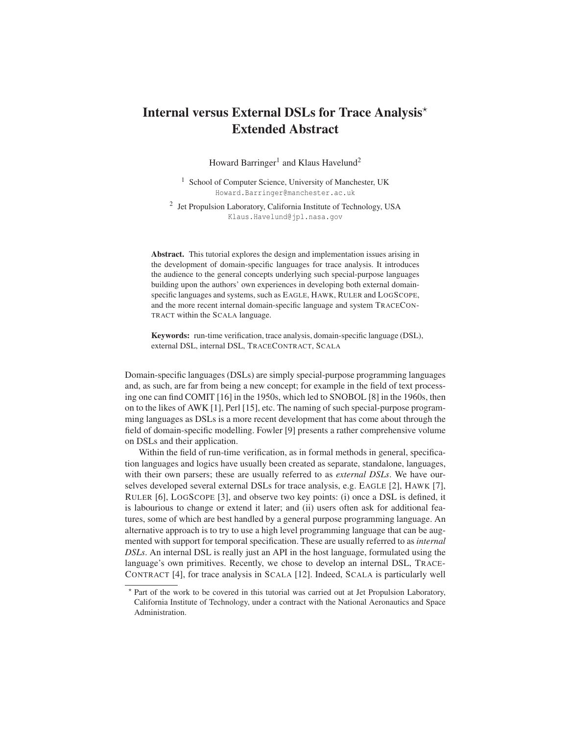## Internal versus External DSLs for Trace Analysis $^\star$ Extended Abstract

Howard Barringer<sup>1</sup> and Klaus Havelund<sup>2</sup>

<sup>1</sup> School of Computer Science, University of Manchester, UK Howard.Barringer@manchester.ac.uk

<sup>2</sup> Jet Propulsion Laboratory, California Institute of Technology, USA Klaus.Havelund@jpl.nasa.gov

Abstract. This tutorial explores the design and implementation issues arising in the development of domain-specific languages for trace analysis. It introduces the audience to the general concepts underlying such special-purpose languages building upon the authors' own experiences in developing both external domainspecific languages and systems, such as EAGLE, HAWK, RULER and LOGSCOPE, and the more recent internal domain-specific language and system TRACECON-TRACT within the SCALA language.

Keywords: run-time verification, trace analysis, domain-specific language (DSL), external DSL, internal DSL, TRACECONTRACT, SCALA

Domain-specific languages (DSLs) are simply special-purpose programming languages and, as such, are far from being a new concept; for example in the field of text processing one can find COMIT [16] in the 1950s, which led to SNOBOL [8] in the 1960s, then on to the likes of AWK [1], Perl [15], etc. The naming of such special-purpose programming languages as DSLs is a more recent development that has come about through the field of domain-specific modelling. Fowler [9] presents a rather comprehensive volume on DSLs and their application.

Within the field of run-time verification, as in formal methods in general, specification languages and logics have usually been created as separate, standalone, languages, with their own parsers; these are usually referred to as *external DSLs*. We have ourselves developed several external DSLs for trace analysis, e.g. EAGLE [2], HAWK [7], RULER [6], LOGSCOPE [3], and observe two key points: (i) once a DSL is defined, it is labourious to change or extend it later; and (ii) users often ask for additional features, some of which are best handled by a general purpose programming language. An alternative approach is to try to use a high level programming language that can be augmented with support for temporal specification. These are usually referred to as *internal DSLs*. An internal DSL is really just an API in the host language, formulated using the language's own primitives. Recently, we chose to develop an internal DSL, TRACE-CONTRACT [4], for trace analysis in SCALA [12]. Indeed, SCALA is particularly well

<sup>-</sup> Part of the work to be covered in this tutorial was carried out at Jet Propulsion Laboratory, California Institute of Technology, under a contract with the National Aeronautics and Space Administration.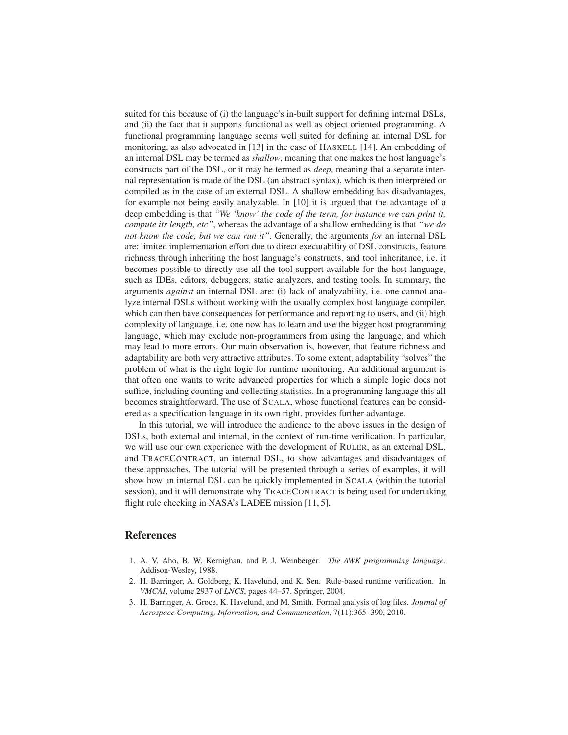suited for this because of (i) the language's in-built support for defining internal DSLs, and (ii) the fact that it supports functional as well as object oriented programming. A functional programming language seems well suited for defining an internal DSL for monitoring, as also advocated in [13] in the case of HASKELL [14]. An embedding of an internal DSL may be termed as *shallow*, meaning that one makes the host language's constructs part of the DSL, or it may be termed as *deep*, meaning that a separate internal representation is made of the DSL (an abstract syntax), which is then interpreted or compiled as in the case of an external DSL. A shallow embedding has disadvantages, for example not being easily analyzable. In [10] it is argued that the advantage of a deep embedding is that *"We 'know' the code of the term, for instance we can print it, compute its length, etc"*, whereas the advantage of a shallow embedding is that *"we do not know the code, but we can run it"*. Generally, the arguments *for* an internal DSL are: limited implementation effort due to direct executability of DSL constructs, feature richness through inheriting the host language's constructs, and tool inheritance, i.e. it becomes possible to directly use all the tool support available for the host language, such as IDEs, editors, debuggers, static analyzers, and testing tools. In summary, the arguments *against* an internal DSL are: (i) lack of analyzability, i.e. one cannot analyze internal DSLs without working with the usually complex host language compiler, which can then have consequences for performance and reporting to users, and (ii) high complexity of language, i.e. one now has to learn and use the bigger host programming language, which may exclude non-programmers from using the language, and which may lead to more errors. Our main observation is, however, that feature richness and adaptability are both very attractive attributes. To some extent, adaptability "solves" the problem of what is the right logic for runtime monitoring. An additional argument is that often one wants to write advanced properties for which a simple logic does not suffice, including counting and collecting statistics. In a programming language this all becomes straightforward. The use of SCALA, whose functional features can be considered as a specification language in its own right, provides further advantage.

In this tutorial, we will introduce the audience to the above issues in the design of DSLs, both external and internal, in the context of run-time verification. In particular, we will use our own experience with the development of RULER, as an external DSL, and TRACECONTRACT, an internal DSL, to show advantages and disadvantages of these approaches. The tutorial will be presented through a series of examples, it will show how an internal DSL can be quickly implemented in SCALA (within the tutorial session), and it will demonstrate why TRACECONTRACT is being used for undertaking flight rule checking in NASA's LADEE mission [11, 5].

## References

- 1. A. V. Aho, B. W. Kernighan, and P. J. Weinberger. *The AWK programming language*. Addison-Wesley, 1988.
- 2. H. Barringer, A. Goldberg, K. Havelund, and K. Sen. Rule-based runtime verification. In *VMCAI*, volume 2937 of *LNCS*, pages 44–57. Springer, 2004.
- 3. H. Barringer, A. Groce, K. Havelund, and M. Smith. Formal analysis of log files. *Journal of Aerospace Computing, Information, and Communication*, 7(11):365–390, 2010.